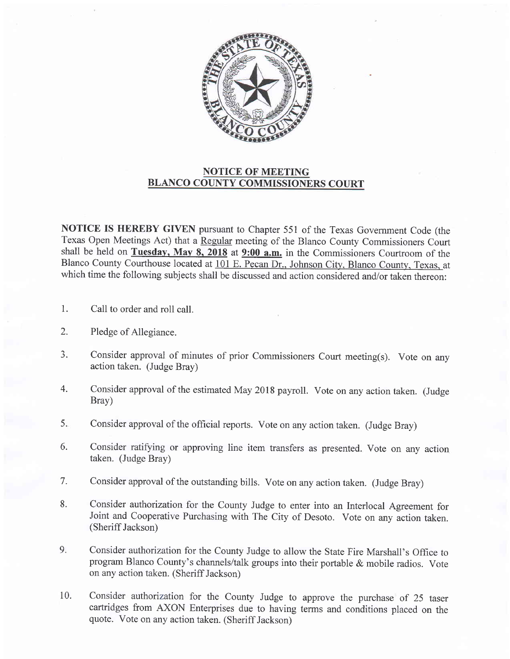

## NOTICE OF MEETING BLANCO COUNTY COMMISSIONERS COURT

NOTICE IS HEREBY GIVEN pursuant to Chapter 551 of the Texas Government Code (the Texas Open Meetings Act) that a Regular meeting of the Blanco County Commissioners Court shall be held on Tuesday, May 8, 2018 at  $9:00$  a.m. in the Commissioners Courtroom of the Blanco County Courthouse located at 101 E. Pecan Dr.. Johnson City. Blanco County. Texas. at which time the following subjects shall be discussed and action considered and/or taken thereon:

- 1. Call to order and roll call.
- 2. Pledge of Allegiance.
- J. Consider approval of minutes of prior Commissioners Court meeting(s). Vote on any action taken. (Judge Bray)
- 4. Consider approval of the estimated May 2018 payroll. Vote on any action taken. (Judge Bray)
- 5. Consider approval of the offrcial reports. Vote on any action taken. (Judge Bray)
- 6. Consider ratifying or approving line item transfers as presented. Vote on any action taken. (Judge Bray)
- 7. Consider approval of the outstanding bills. Vote on any action taken. (Judge Bray)
- 8. Consider authorization for the County Judge to enter into an Interlocal Agreement for Joint and Cooperative Purchasing with The City of Desoto. Vote on any action taken. (Sheriff Jackson)
- 9. Consider authorization for the County Judge to allow the State Fire Marshall's Office to program Blanco County's channels/talk groups into their portable & mobile radios. Vote on any action taken. (Sheriff Jackson)
- Consider authorization for the County Judge to approve the purchase of 25 taser cartridges from AXON Enterprises due to having terms and conditions placed on the quote. Vote on any action taken. (Sheriff Jackson) 10.